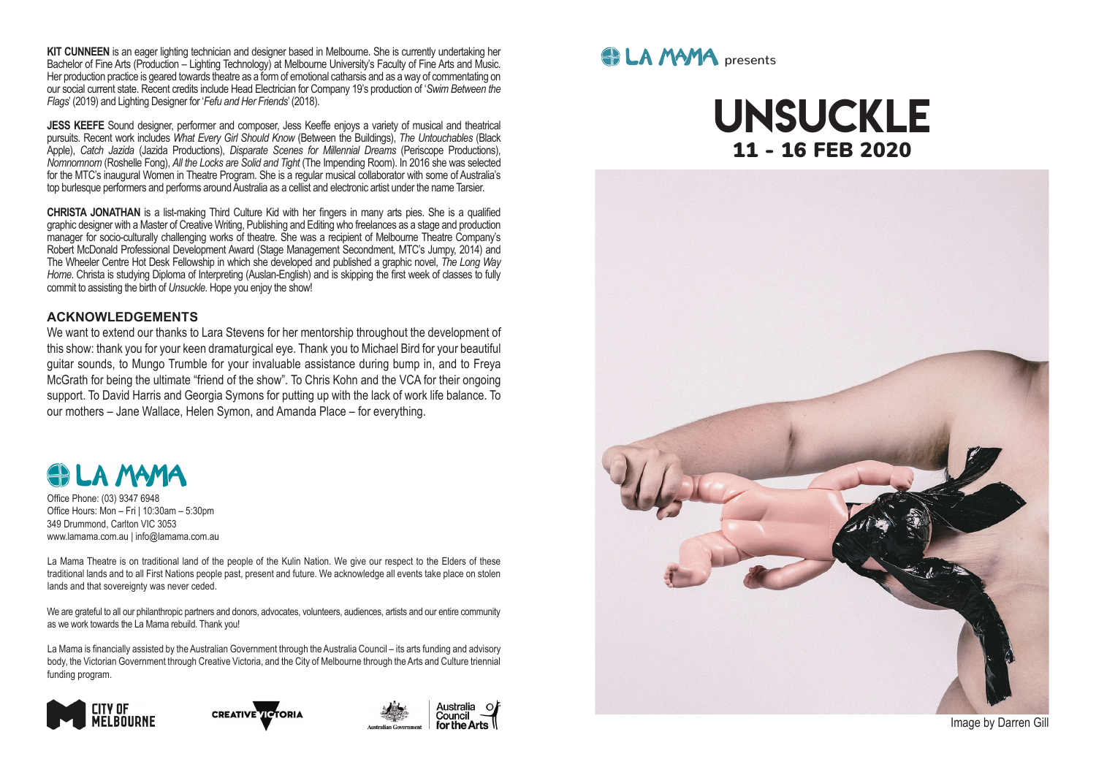**KIT CUNNEEN** is an eager lighting technician and designer based in Melbourne. She is currently undertaking her Bachelor of Fine Arts (Production – Lighting Technology) at Melbourne University's Faculty of Fine Arts and Music. Her production practice is geared towards theatre as a form of emotional catharsis and as a way of commentating on our social current state. Recent credits include Head Electrician for Company 19's production of '*Swim Between the Flags*' (2019) and Lighting Designer for '*Fefu and Her Friends*' (2018).

JESS KEEFE Sound designer, performer and composer, Jess Keeffe enjoys a variety of musical and theatrical pursuits. Recent work includes *What Every Girl Should Know* (Between the Buildings), *The Untouchables* (Black Apple), *Catch Jazida* (Jazida Productions), *Disparate Scenes for Millennial Dreams* (Periscope Productions), *Nomnomnom* (Roshelle Fong), *All the Locks are Solid and Tight* (The Impending Room). In 2016 she was selected for the MTC's inaugural Women in Theatre Program. She is a regular musical collaborator with some of Australia's top burlesque performers and performs around Australia as a cellist and electronic artist under the name Tarsier.

**CHRISTA JONATHAN** is a list-making Third Culture Kid with her fngers in many arts pies. She is a qualifed graphic designer with a Master of Creative Writing, Publishing and Editing who freelances as a stage and production manager for socio-culturally challenging works of theatre. She was a recipient of Melbourne Theatre Company's Robert McDonald Professional Development Award (Stage Management Secondment, MTC's Jumpy, 2014) and The Wheeler Centre Hot Desk Fellowship in which she developed and published a graphic novel, *The Long Way Home*. Christa is studying Diploma of Interpreting (Auslan-English) and is skipping the frst week of classes to fully commit to assisting the birth of *Unsuckle*. Hope you enjoy the show!

#### **ACKNOWLEDGEMENTS**

We want to extend our thanks to Lara Stevens for her mentorship throughout the development of this show: thank you for your keen dramaturgical eye. Thank you to Michael Bird for your beautiful guitar sounds, to Mungo Trumble for your invaluable assistance during bump in, and to Freya McGrath for being the ultimate "friend of the show". To Chris Kohn and the VCA for their ongoing support. To David Harris and Georgia Symons for putting up with the lack of work life balance. To our mothers – Jane Wallace, Helen Symon, and Amanda Place – for everything.

### **COLA MAMA**

Office Phone: (03) 9347 6948 Offce Hours: Mon – Fri | 10:30am – 5:30pm 349 Drummond, Carlton VIC 3053 www.lamama.com.au | info@lamama.com.au

La Mama Theatre is on traditional land of the people of the Kulin Nation. We give our respect to the Elders of these traditional lands and to all First Nations people past, present and future. We acknowledge all events take place on stolen lands and that sovereignty was never ceded.

We are grateful to all our philanthropic partners and donors, advocates, volunteers, audiences, artists and our entire community as we work towards the La Mama rebuild. Thank you!

La Mama is fnancially assisted by the Australian Government through the Australia Council – its arts funding and advisory body, the Victorian Government through Creative Victoria, and the City of Melbourne through the Arts and Culture triennial funding program.



**CREATIVE TO TORIA** 



### **et LA MAMA** presents

## unsuckle 11 - 16 FEB 2020



Image by Darren Gill